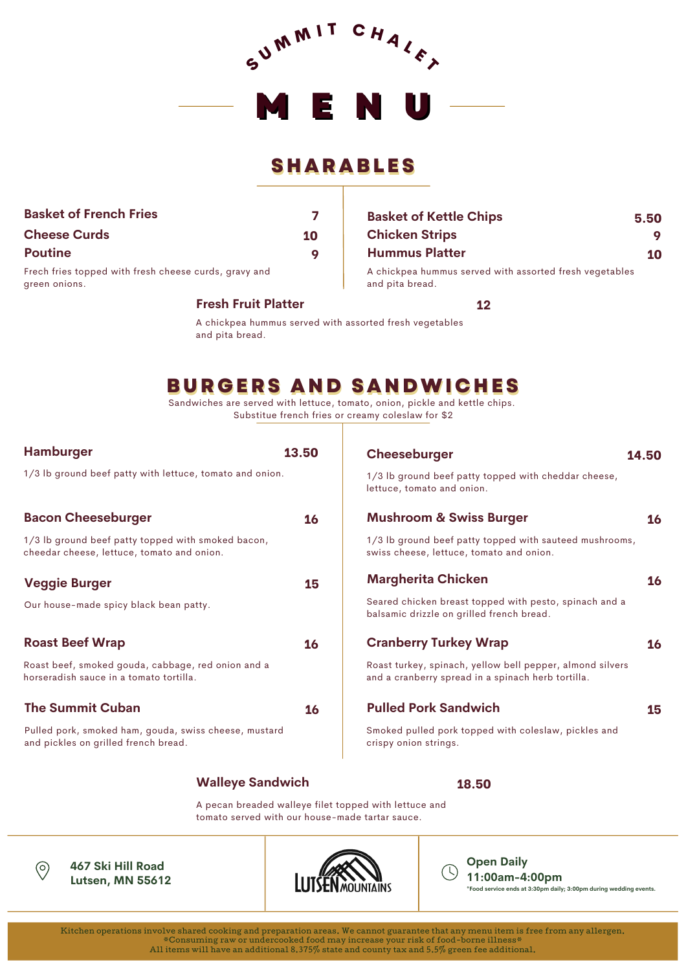

## **SHARABLES**

| <b>Basket of French Fries</b>                                          |    |
|------------------------------------------------------------------------|----|
| <b>Cheese Curds</b>                                                    | 10 |
| <b>Poutine</b>                                                         |    |
| Frech fries topped with fresh cheese curds, gravy and<br>green onions. |    |

#### **Fresh Fruit Platter**

#### **Chicken Strips 9 9 Hummus Platter** A chickpea hummus served with assorted fresh vegetables and pita bread. **10**

**Basket of Kettle Chips 5.50**

**12**

A chickpea hummus served with assorted fresh vegetables and pita bread.

# **BURGERS AND SANDWICHES**

Sandwiches are served with lettuce, tomato, onion, pickle and kettle chips. Substitue french fries or creamy coleslaw for \$2

| <b>Hamburger</b>                                                                                 | 13.50     | Cheeseburger                                                                                                    | 14.50     |
|--------------------------------------------------------------------------------------------------|-----------|-----------------------------------------------------------------------------------------------------------------|-----------|
| 1/3 lb ground beef patty with lettuce, tomato and onion.                                         |           | 1/3 lb ground beef patty topped with cheddar cheese,<br>lettuce, tomato and onion.                              |           |
| <b>Bacon Cheeseburger</b>                                                                        | 16        | <b>Mushroom &amp; Swiss Burger</b>                                                                              | 16        |
| 1/3 lb ground beef patty topped with smoked bacon,<br>cheedar cheese, lettuce, tomato and onion. |           | 1/3 lb ground beef patty topped with sauteed mushrooms,<br>swiss cheese, lettuce, tomato and onion.             |           |
| <b>Veggie Burger</b>                                                                             | 15        | <b>Margherita Chicken</b>                                                                                       | 16        |
| Our house-made spicy black bean patty.                                                           |           | Seared chicken breast topped with pesto, spinach and a<br>balsamic drizzle on grilled french bread.             |           |
| <b>Roast Beef Wrap</b>                                                                           | 16        | <b>Cranberry Turkey Wrap</b>                                                                                    | <b>16</b> |
| Roast beef, smoked gouda, cabbage, red onion and a<br>horseradish sauce in a tomato tortilla.    |           | Roast turkey, spinach, yellow bell pepper, almond silvers<br>and a cranberry spread in a spinach herb tortilla. |           |
| <b>The Summit Cuban</b>                                                                          | <b>16</b> | <b>Pulled Pork Sandwich</b>                                                                                     | 15        |
| Pulled pork, smoked ham, gouda, swiss cheese, mustard<br>and pickles on grilled french bread.    |           | Smoked pulled pork topped with coleslaw, pickles and<br>crispy onion strings.                                   |           |
|                                                                                                  |           |                                                                                                                 |           |

### **Walleye Sandwich**

**18.50**

A pecan breaded walleye filet topped with lettuce and tomato served with our house-made tartar sauce.



**467 Ski Hill Road Lutsen, MN 55612**



**Open Daily 11:00am-4:00pm \*Food service ends at 3:30pm daily; 3:00pm during wedding events.**